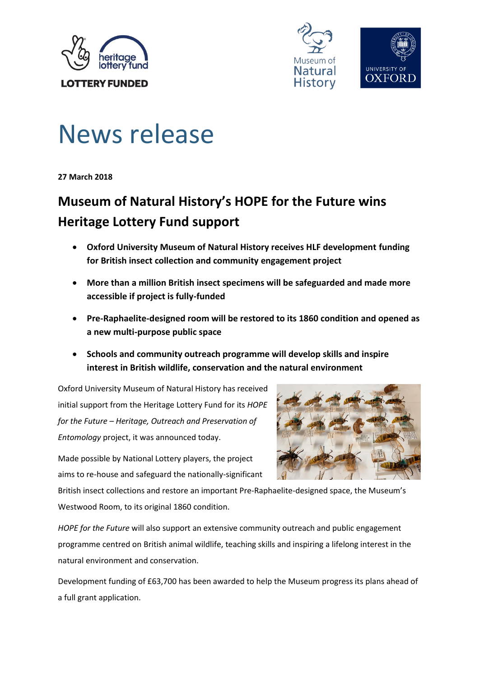



# News release

**27 March 2018**

# **Museum of Natural History's HOPE for the Future wins Heritage Lottery Fund support**

- **Oxford University Museum of Natural History receives HLF development funding for British insect collection and community engagement project**
- **More than a million British insect specimens will be safeguarded and made more accessible if project is fully-funded**
- **Pre-Raphaelite-designed room will be restored to its 1860 condition and opened as a new multi-purpose public space**
- **Schools and community outreach programme will develop skills and inspire interest in British wildlife, conservation and the natural environment**

Oxford University Museum of Natural History has received initial support from the Heritage Lottery Fund for its *HOPE for the Future – Heritage, Outreach and Preservation of Entomology* project, it was announced today.

Made possible by National Lottery players, the project aims to re-house and safeguard the nationally-significant



British insect collections and restore an important Pre-Raphaelite-designed space, the Museum's Westwood Room, to its original 1860 condition.

*HOPE for the Future* will also support an extensive community outreach and public engagement programme centred on British animal wildlife, teaching skills and inspiring a lifelong interest in the natural environment and conservation.

Development funding of £63,700 has been awarded to help the Museum progress its plans ahead of a full grant application.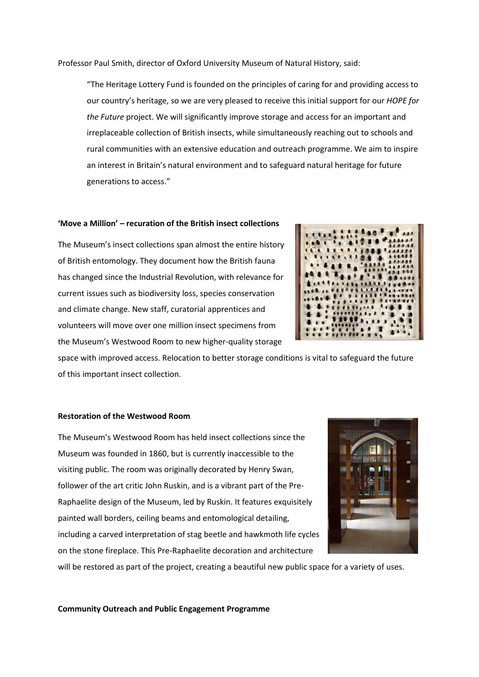Professor Paul Smith, director of Oxford University Museum of Natural History, said:

"The Heritage Lottery Fund is founded on the principles of caring for and providing access to our country's heritage, so we are very pleased to receive this initial support for our *HOPE for the Future* project. We will significantly improve storage and access for an important and irreplaceable collection of British insects, while simultaneously reaching out to schools and rural communities with an extensive education and outreach programme. We aim to inspire an interest in Britain's natural environment and to safeguard natural heritage for future generations to access."

# **'Move a Million' – recuration of the British insect collections**

The Museum's insect collections span almost the entire history of British entomology. They document how the British fauna has changed since the Industrial Revolution, with relevance for current issues such as biodiversity loss, species conservation and climate change. New staff, curatorial apprentices and volunteers will move over one million insect specimens from the Museum's Westwood Room to new higher-quality storage



space with improved access. Relocation to better storage conditions is vital to safeguard the future of this important insect collection.

#### **Restoration of the Westwood Room**

The Museum's Westwood Room has held insect collections since the Museum was founded in 1860, but is currently inaccessible to the visiting public. The room was originally decorated by Henry Swan, follower of the art critic John Ruskin, and is a vibrant part of the Pre-Raphaelite design of the Museum, led by Ruskin. It features exquisitely painted wall borders, ceiling beams and entomological detailing, including a carved interpretation of stag beetle and hawkmoth life cycles on the stone fireplace. This Pre-Raphaelite decoration and architecture



will be restored as part of the project, creating a beautiful new public space for a variety of uses.

**Community Outreach and Public Engagement Programme**